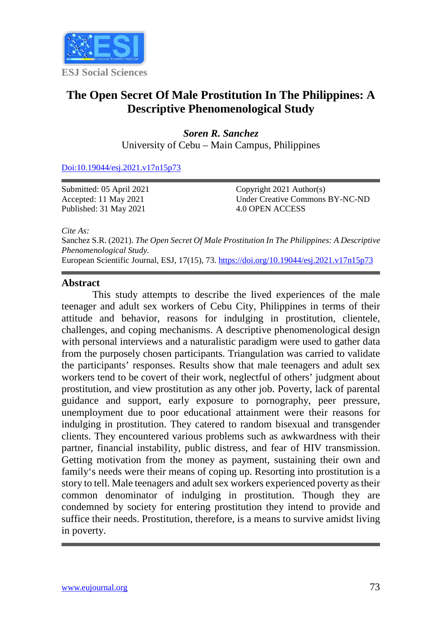

# **The Open Secret Of Male Prostitution In The Philippines: A Descriptive Phenomenological Study**

*Soren R. Sanchez* University of Cebu – Main Campus, Philippines

[Doi:10.19044/esj.2021.v17n15p73](https://doi.org/10.19044/esj.2021.v17n15p1)

Submitted: 05 April 2021 Accepted: 11 May 2021 Published: 31 May 2021

Copyright 2021 Author(s) Under Creative Commons BY-NC-ND 4.0 OPEN ACCESS

*Cite As:*

Sanchez S.R. (2021). *The Open Secret Of Male Prostitution In The Philippines: A Descriptive Phenomenological Study.* European Scientific Journal, ESJ, 17(15), 73.<https://doi.org/10.19044/esj.2021.v17n15p73>

#### **Abstract**

This study attempts to describe the lived experiences of the male teenager and adult sex workers of Cebu City, Philippines in terms of their attitude and behavior, reasons for indulging in prostitution, clientele, challenges, and coping mechanisms. A descriptive phenomenological design with personal interviews and a naturalistic paradigm were used to gather data from the purposely chosen participants. Triangulation was carried to validate the participants' responses. Results show that male teenagers and adult sex workers tend to be covert of their work, neglectful of others' judgment about prostitution, and view prostitution as any other job. Poverty, lack of parental guidance and support, early exposure to pornography, peer pressure, unemployment due to poor educational attainment were their reasons for indulging in prostitution. They catered to random bisexual and transgender clients. They encountered various problems such as awkwardness with their partner, financial instability, public distress, and fear of HIV transmission. Getting motivation from the money as payment, sustaining their own and family's needs were their means of coping up. Resorting into prostitution is a story to tell. Male teenagers and adult sex workers experienced poverty as their common denominator of indulging in prostitution. Though they are condemned by society for entering prostitution they intend to provide and suffice their needs. Prostitution, therefore, is a means to survive amidst living in poverty.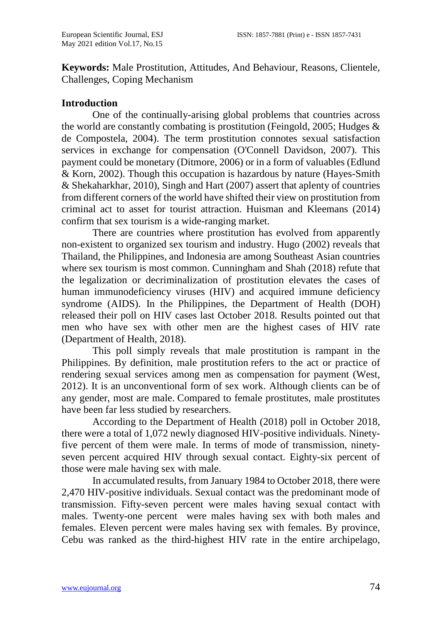**Keywords:** Male Prostitution, Attitudes, And Behaviour, Reasons, Clientele, Challenges, Coping Mechanism

#### **Introduction**

One of the continually-arising global problems that countries across the world are constantly combating is prostitution (Feingold, 2005; Hudges & de Compostela, 2004). The term prostitution connotes sexual satisfaction services in exchange for compensation (O'Connell Davidson, 2007). This payment could be monetary (Ditmore, 2006) or in a form of valuables (Edlund & Korn, 2002). Though this occupation is hazardous by nature (Hayes-Smith & Shekaharkhar, 2010), Singh and Hart (2007) assert that aplenty of countries from different corners of the world have shifted their view on prostitution from criminal act to asset for tourist attraction. Huisman and Kleemans (2014) confirm that sex tourism is a wide-ranging market.

There are countries where prostitution has evolved from apparently non-existent to organized sex tourism and industry. Hugo (2002) reveals that Thailand, the Philippines, and Indonesia are among Southeast Asian countries where sex tourism is most common. Cunningham and Shah (2018) refute that the legalization or decriminalization of prostitution elevates the cases of human immunodeficiency viruses (HIV) and acquired immune deficiency syndrome (AIDS). In the Philippines, the Department of Health (DOH) released their poll on HIV cases last October 2018. Results pointed out that men who have sex with other men are the highest cases of HIV rate (Department of Health, 2018).

This poll simply reveals that male prostitution is rampant in the Philippines. By definition, male prostitution refers to the act or practice of rendering sexual services among men as compensation for payment (West, 2012). It is an unconventional form of [sex work.](https://en.wikipedia.org/wiki/Sex_work) Although clients can be of any gender, most are male. Compared to female prostitutes, male prostitutes have been far less studied by researchers.

According to the Department of Health (2018) poll in October 2018, there were a total of 1,072 newly diagnosed HIV-positive individuals. Ninetyfive percent of them were male. In terms of mode of transmission, ninetyseven percent acquired HIV through sexual contact. Eighty-six percent of those were male having sex with male.

In accumulated results, from January 1984 to October 2018, there were 2,470 HIV-positive individuals. Sexual contact was the predominant mode of transmission. Fifty-seven percent were males having sexual contact with males. Twenty-one percent were males having sex with both males and females. Eleven percent were males having sex with females. By province, Cebu was ranked as the third-highest HIV rate in the entire archipelago,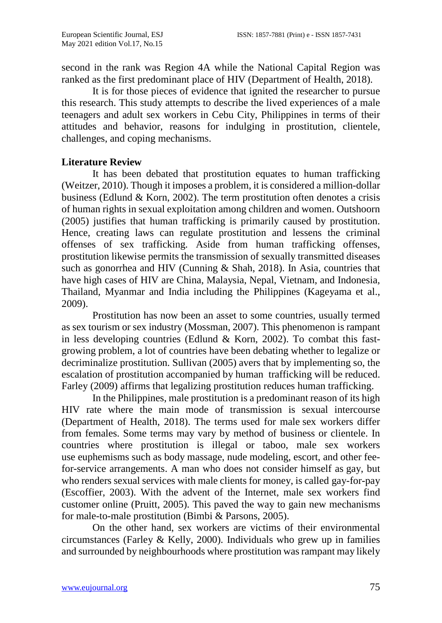second in the rank was Region 4A while the National Capital Region was ranked as the first predominant place of HIV (Department of Health, 2018).

It is for those pieces of evidence that ignited the researcher to pursue this research. This study attempts to describe the lived experiences of a male teenagers and adult sex workers in Cebu City, Philippines in terms of their attitudes and behavior, reasons for indulging in prostitution, clientele, challenges, and coping mechanisms.

## **Literature Review**

It has been debated that prostitution equates to human trafficking (Weitzer, 2010). Though it imposes a problem, it is considered a million-dollar business (Edlund  $& Korn, 2002$ ). The term prostitution often denotes a crisis of human rights in sexual exploitation among children and women. Outshoorn (2005) justifies that human trafficking is primarily caused by prostitution. Hence, creating laws can regulate prostitution and lessens the criminal offenses of sex trafficking. Aside from human trafficking offenses, prostitution likewise permits the transmission of sexually transmitted diseases such as gonorrhea and HIV (Cunning & Shah, 2018). In Asia, countries that have high cases of HIV are China, Malaysia, Nepal, Vietnam, and Indonesia, Thailand, Myanmar and India including the Philippines (Kageyama et al., 2009).

Prostitution has now been an asset to some countries, usually termed as sex tourism or sex industry (Mossman, 2007). This phenomenon is rampant in less developing countries (Edlund & Korn, 2002). To combat this fastgrowing problem, a lot of countries have been debating whether to legalize or decriminalize prostitution. Sullivan (2005) avers that by implementing so, the escalation of prostitution accompanied by human trafficking will be reduced. Farley (2009) affirms that legalizing prostitution reduces human trafficking.

In the Philippines, male prostitution is a predominant reason of its high HIV rate where the main mode of transmission is sexual intercourse (Department of Health, 2018). The terms used for male sex workers differ from females. Some terms may vary by method of business or clientele. In countries where prostitution is illegal or taboo, male sex workers use euphemisms such as body massage, nude modeling, escort, and other feefor-service arrangements. A man who does not consider himself as gay, but who renders sexual services with male clients for money, is called gay-for-pay (Escoffier, 2003). With the advent of the Internet, male sex workers find customer online (Pruitt, 2005). This paved the way to gain new mechanisms for male-to-male prostitution (Bimbi & Parsons, 2005).

On the other hand, sex workers are victims of their environmental circumstances (Farley & Kelly, 2000). Individuals who grew up in families and surrounded by neighbourhoods where prostitution was rampant may likely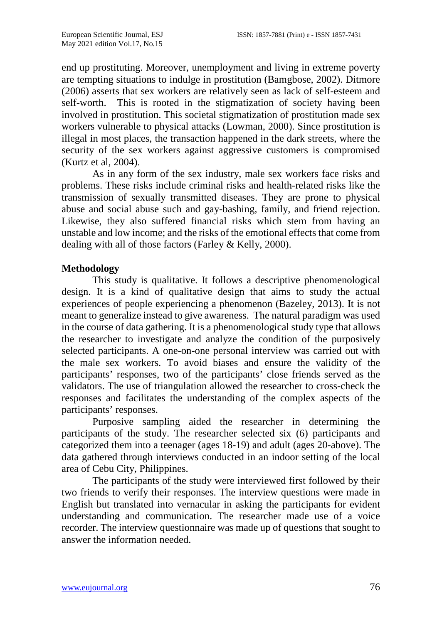end up prostituting. Moreover, unemployment and living in extreme poverty are tempting situations to indulge in prostitution (Bamgbose, 2002). Ditmore (2006) asserts that sex workers are relatively seen as lack of self-esteem and self-worth. This is rooted in the stigmatization of society having been involved in prostitution. This societal stigmatization of prostitution made sex workers vulnerable to physical attacks (Lowman, 2000). Since prostitution is illegal in most places, the transaction happened in the dark streets, where the security of the sex workers against aggressive customers is compromised (Kurtz et al, 2004).

As in any form of the sex industry, male sex workers face risks and problems. These risks include criminal risks and health-related risks like the transmission of sexually transmitted diseases. They are prone to physical abuse and social abuse such and gay-bashing, family, and friend rejection. Likewise, they also suffered financial risks which stem from having an unstable and low income; and the risks of the emotional effects that come from dealing with all of those factors (Farley & Kelly, 2000).

## **Methodology**

This study is qualitative. It follows a descriptive phenomenological design. It is a kind of qualitative design that aims to study the actual experiences of people experiencing a phenomenon (Bazeley, 2013). It is not meant to generalize instead to give awareness. The natural paradigm was used in the course of data gathering. It is a phenomenological study type that allows the researcher to investigate and analyze the condition of the purposively selected participants. A one-on-one personal interview was carried out with the male sex workers. To avoid biases and ensure the validity of the participants' responses, two of the participants' close friends served as the validators. The use of triangulation allowed the researcher to cross-check the responses and facilitates the understanding of the complex aspects of the participants' responses.

Purposive sampling aided the researcher in determining the participants of the study. The researcher selected six (6) participants and categorized them into a teenager (ages 18-19) and adult (ages 20-above). The data gathered through interviews conducted in an indoor setting of the local area of Cebu City, Philippines.

The participants of the study were interviewed first followed by their two friends to verify their responses. The interview questions were made in English but translated into vernacular in asking the participants for evident understanding and communication. The researcher made use of a voice recorder. The interview questionnaire was made up of questions that sought to answer the information needed.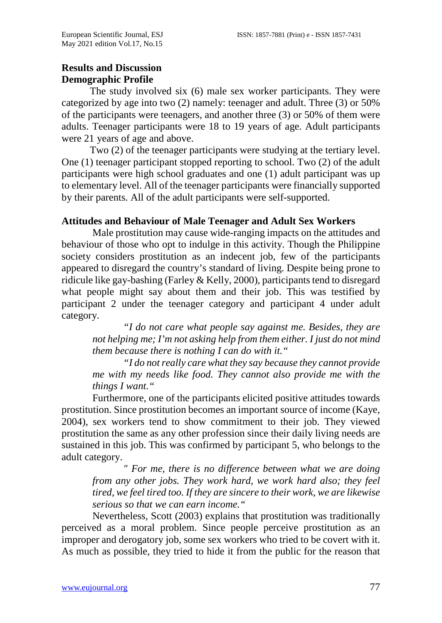# **Results and Discussion Demographic Profile**

 The study involved six (6) male sex worker participants. They were categorized by age into two (2) namely: teenager and adult. Three (3) or 50% of the participants were teenagers, and another three (3) or 50% of them were adults. Teenager participants were 18 to 19 years of age. Adult participants were 21 years of age and above.

 Two (2) of the teenager participants were studying at the tertiary level. One (1) teenager participant stopped reporting to school. Two (2) of the adult participants were high school graduates and one (1) adult participant was up to elementary level. All of the teenager participants were financially supported by their parents. All of the adult participants were self-supported.

#### **Attitudes and Behaviour of Male Teenager and Adult Sex Workers**

Male prostitution may cause wide-ranging impacts on the attitudes and behaviour of those who opt to indulge in this activity. Though the Philippine society considers prostitution as an indecent job, few of the participants appeared to disregard the country's standard of living. Despite being prone to ridicule like gay-bashing (Farley & Kelly, 2000), participants tend to disregard what people might say about them and their job. This was testified by participant 2 under the teenager category and participant 4 under adult category.

*"I do not care what people say against me. Besides, they are not helping me; I'm not asking help from them either. I just do not mind them because there is nothing I can do with it."*

*"I do not really care what they say because they cannot provide me with my needs like food. They cannot also provide me with the things I want."*

Furthermore, one of the participants elicited positive attitudes towards prostitution. Since prostitution becomes an important source of income (Kaye, 2004), sex workers tend to show commitment to their job. They viewed prostitution the same as any other profession since their daily living needs are sustained in this job. This was confirmed by participant 5, who belongs to the adult category.

*" For me, there is no difference between what we are doing from any other jobs. They work hard, we work hard also; they feel tired, we feel tired too. If they are sincere to their work, we are likewise serious so that we can earn income."* 

Nevertheless, Scott (2003) explains that prostitution was traditionally perceived as a moral problem. Since people perceive prostitution as an improper and derogatory job, some sex workers who tried to be covert with it. As much as possible, they tried to hide it from the public for the reason that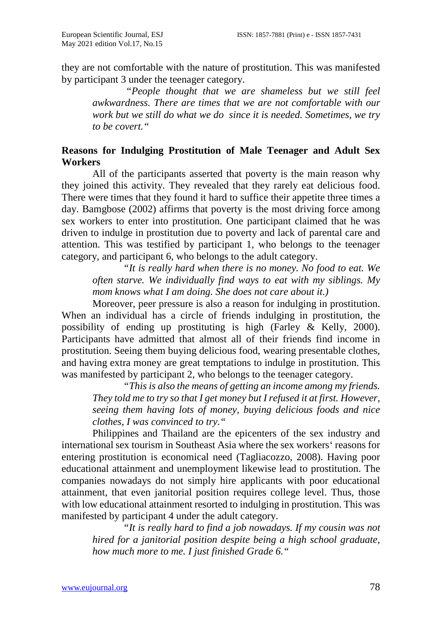they are not comfortable with the nature of prostitution. This was manifested by participant 3 under the teenager category.

*"People thought that we are shameless but we still feel awkwardness. There are times that we are not comfortable with our work but we still do what we do since it is needed. Sometimes, we try to be covert."*

## **Reasons for Indulging Prostitution of Male Teenager and Adult Sex Workers**

All of the participants asserted that poverty is the main reason why they joined this activity. They revealed that they rarely eat delicious food. There were times that they found it hard to suffice their appetite three times a day. Bamgbose (2002) affirms that poverty is the most driving force among sex workers to enter into prostitution. One participant claimed that he was driven to indulge in prostitution due to poverty and lack of parental care and attention. This was testified by participant 1, who belongs to the teenager category, and participant 6, who belongs to the adult category.

*"It is really hard when there is no money. No food to eat. We often starve. We individually find ways to eat with my siblings. My mom knows what I am doing. She does not care about it.)*

Moreover, peer pressure is also a reason for indulging in prostitution. When an individual has a circle of friends indulging in prostitution, the possibility of ending up prostituting is high (Farley & Kelly, 2000). Participants have admitted that almost all of their friends find income in prostitution. Seeing them buying delicious food, wearing presentable clothes, and having extra money are great temptations to indulge in prostitution. This was manifested by participant 2, who belongs to the teenager category.

*"This is also the means of getting an income among my friends. They told me to try so that I get money but I refused it at first. However, seeing them having lots of money, buying delicious foods and nice clothes, I was convinced to try."* 

Philippines and Thailand are the epicenters of the sex industry and international sex tourism in Southeast Asia where the sex workers' reasons for entering prostitution is economical need (Tagliacozzo, 2008). Having poor educational attainment and unemployment likewise lead to prostitution. The companies nowadays do not simply hire applicants with poor educational attainment, that even janitorial position requires college level. Thus, those with low educational attainment resorted to indulging in prostitution. This was manifested by participant 4 under the adult category.

*"It is really hard to find a job nowadays. If my cousin was not hired for a janitorial position despite being a high school graduate, how much more to me. I just finished Grade 6."*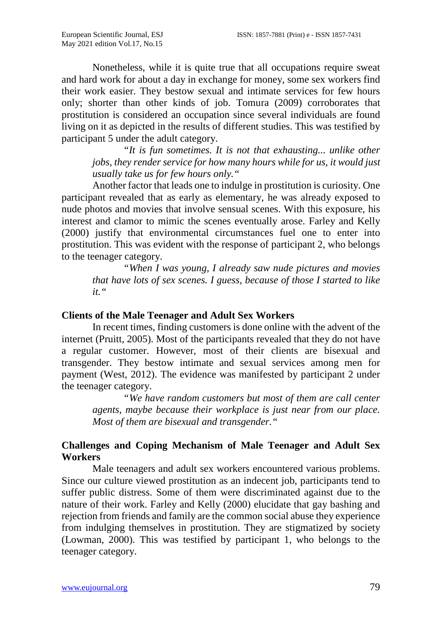Nonetheless, while it is quite true that all occupations require sweat and hard work for about a day in exchange for money, some sex workers find their work easier. They bestow sexual and intimate services for few hours only; shorter than other kinds of job. Tomura (2009) corroborates that prostitution is considered an occupation since several individuals are found living on it as depicted in the results of different studies. This was testified by participant 5 under the adult category.

*"It is fun sometimes. It is not that exhausting... unlike other jobs, they render service for how many hours while for us, it would just usually take us for few hours only."*

Another factor that leads one to indulge in prostitution is curiosity. One participant revealed that as early as elementary, he was already exposed to nude photos and movies that involve sensual scenes. With this exposure, his interest and clamor to mimic the scenes eventually arose. Farley and Kelly (2000) justify that environmental circumstances fuel one to enter into prostitution. This was evident with the response of participant 2, who belongs to the teenager category.

*"When I was young, I already saw nude pictures and movies that have lots of sex scenes. I guess, because of those I started to like it."*

#### **Clients of the Male Teenager and Adult Sex Workers**

In recent times, finding customers is done online with the advent of the internet (Pruitt, 2005). Most of the participants revealed that they do not have a regular customer. However, most of their clients are bisexual and transgender. They bestow intimate and sexual services among men for payment (West, 2012). The evidence was manifested by participant 2 under the teenager category.

*"We have random customers but most of them are call center agents, maybe because their workplace is just near from our place. Most of them are bisexual and transgender."*

# **Challenges and Coping Mechanism of Male Teenager and Adult Sex Workers**

Male teenagers and adult sex workers encountered various problems. Since our culture viewed prostitution as an indecent job, participants tend to suffer public distress. Some of them were discriminated against due to the nature of their work. Farley and Kelly (2000) elucidate that gay bashing and rejection from friends and family are the common social abuse they experience from indulging themselves in prostitution. They are stigmatized by society (Lowman, 2000). This was testified by participant 1, who belongs to the teenager category.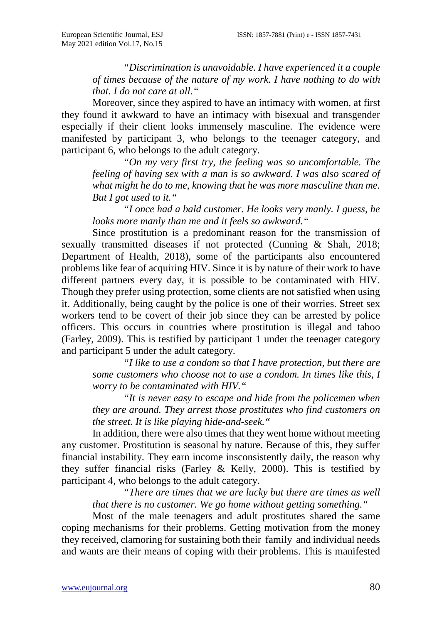*"Discrimination is unavoidable. I have experienced it a couple of times because of the nature of my work. I have nothing to do with that. I do not care at all."*

Moreover, since they aspired to have an intimacy with women, at first they found it awkward to have an intimacy with bisexual and transgender especially if their client looks immensely masculine. The evidence were manifested by participant 3, who belongs to the teenager category, and participant 6, who belongs to the adult category.

*"On my very first try, the feeling was so uncomfortable. The feeling of having sex with a man is so awkward. I was also scared of what might he do to me, knowing that he was more masculine than me. But I got used to it."* 

*"I once had a bald customer. He looks very manly. I guess, he looks more manly than me and it feels so awkward."* 

Since prostitution is a predominant reason for the transmission of sexually transmitted diseases if not protected (Cunning & Shah, 2018; Department of Health, 2018), some of the participants also encountered problems like fear of acquiring HIV. Since it is by nature of their work to have different partners every day, it is possible to be contaminated with HIV. Though they prefer using protection, some clients are not satisfied when using it. Additionally, being caught by the police is one of their worries. Street sex workers tend to be covert of their job since they can be arrested by police officers. This occurs in countries where prostitution is illegal and taboo (Farley, 2009). This is testified by participant 1 under the teenager category and participant 5 under the adult category.

*"I like to use a condom so that I have protection, but there are some customers who choose not to use a condom. In times like this, I worry to be contaminated with HIV."*

*"It is never easy to escape and hide from the policemen when they are around. They arrest those prostitutes who find customers on the street. It is like playing hide-and-seek."*

In addition, there were also times that they went home without meeting any customer. Prostitution is seasonal by nature. Because of this, they suffer financial instability. They earn income insconsistently daily, the reason why they suffer financial risks (Farley & Kelly, 2000). This is testified by participant 4, who belongs to the adult category.

*"There are times that we are lucky but there are times as well that there is no customer. We go home without getting something."*

Most of the male teenagers and adult prostitutes shared the same coping mechanisms for their problems. Getting motivation from the money they received, clamoring for sustaining both their family and individual needs and wants are their means of coping with their problems. This is manifested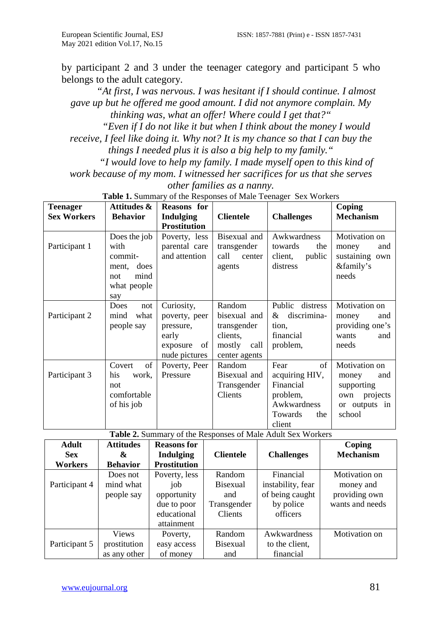by participant 2 and 3 under the teenager category and participant 5 who belongs to the adult category.

*"At first, I was nervous. I was hesitant if I should continue. I almost gave up but he offered me good amount. I did not anymore complain. My thinking was, what an offer! Where could I get that?"*

*"Even if I do not like it but when I think about the money I would receive, I feel like doing it. Why not? It is my chance so that I can buy the* 

*things I needed plus it is also a big help to my family."*

*"I would love to help my family. I made myself open to this kind of work because of my mom. I witnessed her sacrifices for us that she serves other families as a nanny.*

**Teenager Sex Workers Attitudes & Behavior Reasons for Indulging Prostitution Clientele Challenges Coping Mechanism** Participant 1 Does the job with commitment, does not mind what people say Poverty, less parental care and attention Bisexual and transgender call center agents Awkwardness towards the client, public distress Motivation on money and sustaining own &family's needs Participant 2 Does not mind what people say Curiosity, poverty, peer pressure, early exposure of nude pictures Random bisexual and transgender clients, mostly call center agents Public distress & discrimination, financial problem, Motivation on money and providing one's wants and needs Participant 3 Covert of his work, not comfortable of his job Poverty, Peer Pressure Random Bisexual and Transgender Clients Fear of acquiring HIV, Financial problem, Awkwardness Towards the client Motivation on money and supporting own projects or outputs in school

**Table 1.** Summary of the Responses of Male Teenager Sex Workers

**Table 2.** Summary of the Responses of Male Adult Sex Workers

| <b>Adult</b>  | <b>Attitudes</b> | <b>Reasons for</b>  |                  |                   | Coping           |
|---------------|------------------|---------------------|------------------|-------------------|------------------|
| <b>Sex</b>    | &                | <b>Indulging</b>    | <b>Clientele</b> | <b>Challenges</b> | <b>Mechanism</b> |
| Workers       | <b>Behavior</b>  | <b>Prostitution</b> |                  |                   |                  |
|               | Does not         | Poverty, less       | Random           | Financial         | Motivation on    |
| Participant 4 | mind what        | job                 | <b>Bisexual</b>  | instability, fear | money and        |
|               | people say       | opportunity         | and              | of being caught   | providing own    |
|               |                  | due to poor         | Transgender      | by police         | wants and needs  |
|               |                  | educational         | Clients          | officers          |                  |
|               |                  | attainment          |                  |                   |                  |
|               | <b>Views</b>     | Poverty,            | Random           | Awkwardness       | Motivation on    |
| Participant 5 | prostitution     | easy access         | <b>Bisexual</b>  | to the client,    |                  |
|               | as any other     | of money            | and              | financial         |                  |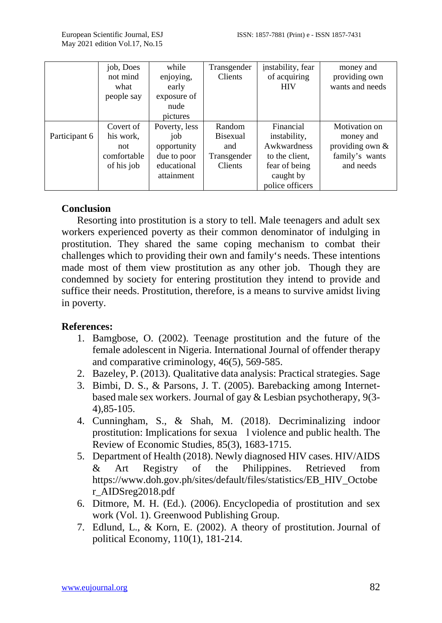|               | job, Does   | while         | Transgender     | instability, fear | money and         |
|---------------|-------------|---------------|-----------------|-------------------|-------------------|
|               | not mind    | enjoying,     | Clients         | of acquiring      | providing own     |
|               | what        | early         |                 | <b>HIV</b>        | wants and needs   |
|               | people say  | exposure of   |                 |                   |                   |
|               |             | nude          |                 |                   |                   |
|               |             | pictures      |                 |                   |                   |
|               | Covert of   | Poverty, less | Random          | Financial         | Motivation on     |
| Participant 6 | his work,   | job           | <b>Bisexual</b> | instability,      | money and         |
|               | not         | opportunity   | and             | Awkwardness       | providing own $&$ |
|               | comfortable | due to poor   | Transgender     | to the client,    | family's wants    |
|               | of his job  | educational   | <b>Clients</b>  | fear of being     | and needs         |
|               |             | attainment    |                 | caught by         |                   |
|               |             |               |                 | police officers   |                   |

#### **Conclusion**

Resorting into prostitution is a story to tell. Male teenagers and adult sex workers experienced poverty as their common denominator of indulging in prostitution. They shared the same coping mechanism to combat their challenges which to providing their own and family's needs. These intentions made most of them view prostitution as any other job. Though they are condemned by society for entering prostitution they intend to provide and suffice their needs. Prostitution, therefore, is a means to survive amidst living in poverty.

#### **References:**

- 1. Bamgbose, O. (2002). Teenage prostitution and the future of the female adolescent in Nigeria. International Journal of offender therapy and comparative criminology, 46(5), 569-585.
- 2. Bazeley, P. (2013). Qualitative data analysis: Practical strategies. Sage
- 3. Bimbi, D. S., & Parsons, J. T. (2005). Barebacking among Internetbased male sex workers. Journal of gay & Lesbian psychotherapy, 9(3- 4),85-105.
- 4. Cunningham, S., & Shah, M. (2018). Decriminalizing indoor prostitution: Implications for sexua l violence and public health. The Review of Economic Studies, 85(3), 1683-1715.
- 5. Department of Health (2018). Newly diagnosed HIV cases. HIV/AIDS & Art Registry of the Philippines. Retrieved from [https://www.doh.gov.ph/sites/default/files/statistics/EB\\_HIV\\_Octobe](https://www.doh.gov.ph/sites/default/files/statistics/EB_HIV_October_AIDSreg2018.pdf) [r\\_AIDSreg2018.pdf](https://www.doh.gov.ph/sites/default/files/statistics/EB_HIV_October_AIDSreg2018.pdf)
- 6. Ditmore, M. H. (Ed.). (2006). Encyclopedia of prostitution and sex work (Vol. 1). Greenwood Publishing Group.
- 7. Edlund, L., & Korn, E. (2002). A theory of prostitution. Journal of political Economy, 110(1), 181-214.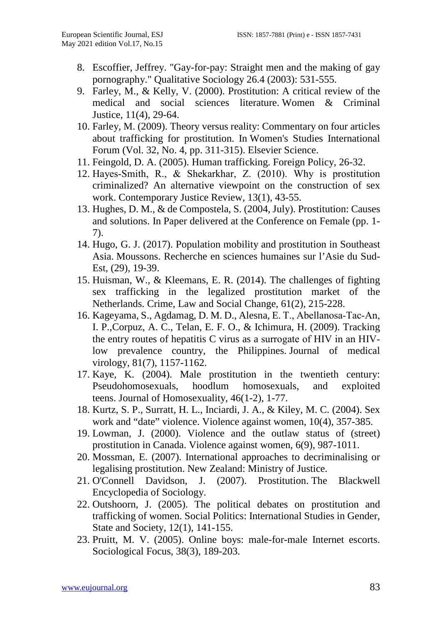- 8. Escoffier, Jeffrey. "Gay-for-pay: Straight men and the making of gay pornography." Qualitative Sociology 26.4 (2003): 531-555.
- 9. Farley, M., & Kelly, V. (2000). Prostitution: A critical review of the medical and social sciences literature. Women & Criminal Justice, 11(4), 29-64.
- 10. Farley, M. (2009). Theory versus reality: Commentary on four articles about trafficking for prostitution. In Women's Studies International Forum (Vol. 32, No. 4, pp. 311-315). Elsevier Science.
- 11. Feingold, D. A. (2005). Human trafficking. Foreign Policy, 26-32.
- 12. Hayes‐Smith, R., & Shekarkhar, Z. (2010). Why is prostitution criminalized? An alternative viewpoint on the construction of sex work. Contemporary Justice Review, 13(1), 43-55.
- 13. Hughes, D. M., & de Compostela, S. (2004, July). Prostitution: Causes and solutions. In Paper delivered at the Conference on Female (pp. 1- 7).
- 14. Hugo, G. J. (2017). Population mobility and prostitution in Southeast Asia. Moussons. Recherche en sciences humaines sur l'Asie du Sud-Est, (29), 19-39.
- 15. Huisman, W., & Kleemans, E. R. (2014). The challenges of fighting sex trafficking in the legalized prostitution market of the Netherlands. Crime, Law and Social Change, 61(2), 215-228.
- 16. Kageyama, S., Agdamag, D. M. D., Alesna, E. T., Abellanosa‐Tac‐An, I. P.,Corpuz, A. C., Telan, E. F. O., & Ichimura, H. (2009). Tracking the entry routes of hepatitis C virus as a surrogate of HIV in an HIV‐ low prevalence country, the Philippines. Journal of medical virology, 81(7), 1157-1162.
- 17. Kaye, K. (2004). Male prostitution in the twentieth century: Pseudohomosexuals, hoodlum homosexuals, and exploited teens. Journal of Homosexuality, 46(1-2), 1-77.
- 18. Kurtz, S. P., Surratt, H. L., Inciardi, J. A., & Kiley, M. C. (2004). Sex work and "date" violence. Violence against women, 10(4), 357-385.
- 19. Lowman, J. (2000). Violence and the outlaw status of (street) prostitution in Canada. Violence against women, 6(9), 987-1011.
- 20. Mossman, E. (2007). International approaches to decriminalising or legalising prostitution. New Zealand: Ministry of Justice.
- 21. O'Connell Davidson, J. (2007). Prostitution. The Blackwell Encyclopedia of Sociology.
- 22. Outshoorn, J. (2005). The political debates on prostitution and trafficking of women. Social Politics: International Studies in Gender, State and Society, 12(1), 141-155.
- 23. Pruitt, M. V. (2005). Online boys: male-for-male Internet escorts. Sociological Focus, 38(3), 189-203.